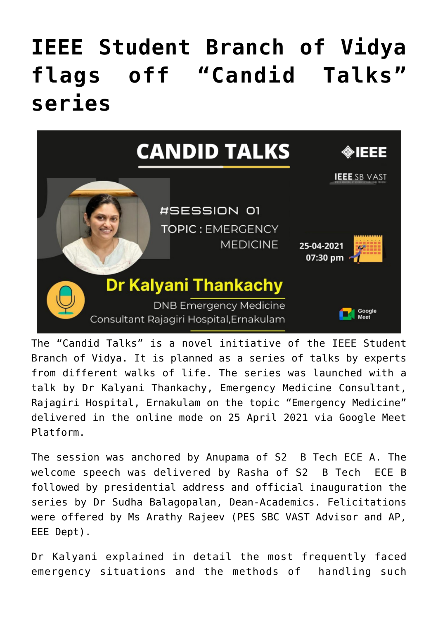## **[IEEE Student Branch of Vidya](https://news.vidyaacademy.ac.in/2021/04/28/ieee-student-branch-of-vidya-flags-off-candid-talks-series/) [flags off "Candid Talks"](https://news.vidyaacademy.ac.in/2021/04/28/ieee-student-branch-of-vidya-flags-off-candid-talks-series/) [series](https://news.vidyaacademy.ac.in/2021/04/28/ieee-student-branch-of-vidya-flags-off-candid-talks-series/)**



The "Candid Talks" is a novel initiative of the IEEE Student Branch of Vidya. It is planned as a series of talks by experts from different walks of life. The series was launched with a talk by Dr Kalyani Thankachy, Emergency Medicine Consultant, Rajagiri Hospital, Ernakulam on the topic "Emergency Medicine" delivered in the online mode on 25 April 2021 via Google Meet Platform.

The session was anchored by Anupama of S2 B Tech ECE A. The welcome speech was delivered by Rasha of S2 B Tech ECE B followed by presidential address and official inauguration the series by Dr Sudha Balagopalan, Dean-Academics. Felicitations were offered by Ms Arathy Rajeev (PES SBC VAST Advisor and AP, EEE Dept).

Dr Kalyani explained in detail the most frequently faced emergency situations and the methods of handling such